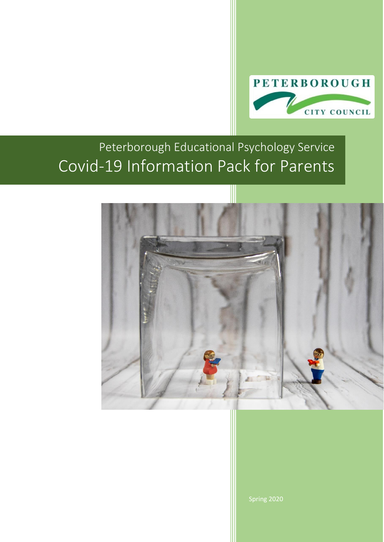

# Peterborough Educational Psychology Service Covid-19 Information Pack for Parents

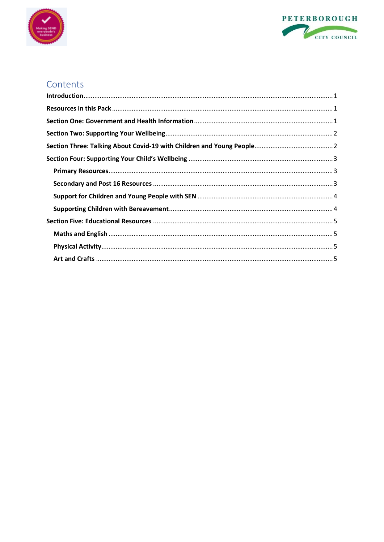



### Contents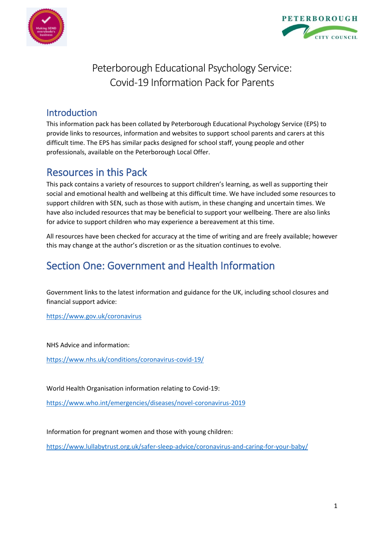



Peterborough Educational Psychology Service: Covid-19 Information Pack for Parents

#### <span id="page-2-0"></span>Introduction

This information pack has been collated by Peterborough Educational Psychology Service (EPS) to provide links to resources, information and websites to support school parents and carers at this difficult time. The EPS has similar packs designed for school staff, young people and other professionals, available on the Peterborough Local Offer.

### <span id="page-2-1"></span>Resources in this Pack

This pack contains a variety of resources to support children's learning, as well as supporting their social and emotional health and wellbeing at this difficult time. We have included some resources to support children with SEN, such as those with autism, in these changing and uncertain times. We have also included resources that may be beneficial to support your wellbeing. There are also links for advice to support children who may experience a bereavement at this time.

All resources have been checked for accuracy at the time of writing and are freely available; however this may change at the author's discretion or as the situation continues to evolve.

## <span id="page-2-2"></span>Section One: Government and Health Information

Government links to the latest information and guidance for the UK, including school closures and financial support advice:

<https://www.gov.uk/coronavirus>

NHS Advice and information:

https://www.nhs.uk/conditions/coronavirus-covid-19/

World Health Organisation information relating to Covid-19:

<https://www.who.int/emergencies/diseases/novel-coronavirus-2019>

Information for pregnant women and those with young children:

<https://www.lullabytrust.org.uk/safer-sleep-advice/coronavirus-and-caring-for-your-baby/>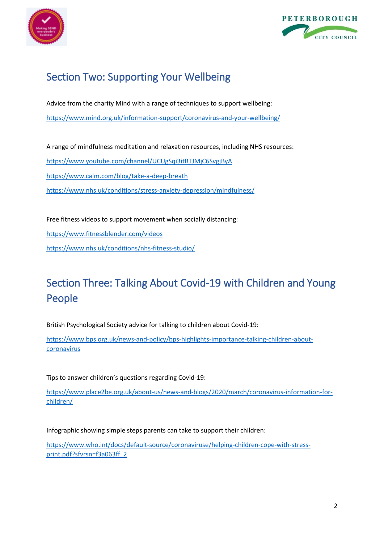



# <span id="page-3-0"></span>Section Two: Supporting Your Wellbeing

Advice from the charity Mind with a range of techniques to support wellbeing: <https://www.mind.org.uk/information-support/coronavirus-and-your-wellbeing/>

A range of mindfulness meditation and relaxation resources, including NHS resources: <https://www.youtube.com/channel/UCUgSqi3itBTJMjC6SvgjByA> <https://www.calm.com/blog/take-a-deep-breath> <https://www.nhs.uk/conditions/stress-anxiety-depression/mindfulness/>

Free fitness videos to support movement when socially distancing:

<https://www.fitnessblender.com/videos>

<https://www.nhs.uk/conditions/nhs-fitness-studio/>

# <span id="page-3-1"></span>Section Three: Talking About Covid-19 with Children and Young People

British Psychological Society advice for talking to children about Covid-19:

[https://www.bps.org.uk/news-and-policy/bps-highlights-importance-talking-children-about](https://www.bps.org.uk/news-and-policy/bps-highlights-importance-talking-children-about-coronavirus)[coronavirus](https://www.bps.org.uk/news-and-policy/bps-highlights-importance-talking-children-about-coronavirus)

Tips to answer children's questions regarding Covid-19:

[https://www.place2be.org.uk/about-us/news-and-blogs/2020/march/coronavirus-information-for](https://www.place2be.org.uk/about-us/news-and-blogs/2020/march/coronavirus-information-for-children/)[children/](https://www.place2be.org.uk/about-us/news-and-blogs/2020/march/coronavirus-information-for-children/)

Infographic showing simple steps parents can take to support their children:

[https://www.who.int/docs/default-source/coronaviruse/helping-children-cope-with-stress](https://www.who.int/docs/default-source/coronaviruse/helping-children-cope-with-stress-print.pdf?sfvrsn=f3a063ff_2)[print.pdf?sfvrsn=f3a063ff\\_2](https://www.who.int/docs/default-source/coronaviruse/helping-children-cope-with-stress-print.pdf?sfvrsn=f3a063ff_2)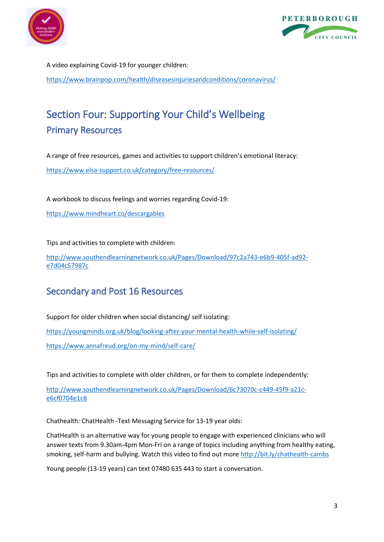



A video explaining Covid-19 for younger children: <https://www.brainpop.com/health/diseasesinjuriesandconditions/coronavirus/>

# <span id="page-4-1"></span><span id="page-4-0"></span>Section Four: Supporting Your Child's Wellbeing Primary Resources

A range of free resources, games and activities to support children's emotional literacy: <https://www.elsa-support.co.uk/category/free-resources/>

A workbook to discuss feelings and worries regarding Covid-19:

<https://www.mindheart.co/descargables>

Tips and activities to complete with children:

[http://www.southendlearningnetwork.co.uk/Pages/Download/97c2a743-e6b9-405f-ad92](http://www.southendlearningnetwork.co.uk/Pages/Download/97c2a743-e6b9-405f-ad92-e7d04c57987c) [e7d04c57987c](http://www.southendlearningnetwork.co.uk/Pages/Download/97c2a743-e6b9-405f-ad92-e7d04c57987c)

#### <span id="page-4-2"></span>Secondary and Post 16 Resources

Support for older children when social distancing/ self isolating: <https://youngminds.org.uk/blog/looking-after-your-mental-health-while-self-isolating/> <https://www.annafreud.org/on-my-mind/self-care/>

Tips and activities to complete with older children, or for them to complete independently:

[http://www.southendlearningnetwork.co.uk/Pages/Download/6c73070c-c449-45f9-a21c](http://www.southendlearningnetwork.co.uk/Pages/Download/6c73070c-c449-45f9-a21c-e6cf0704e1c8)[e6cf0704e1c8](http://www.southendlearningnetwork.co.uk/Pages/Download/6c73070c-c449-45f9-a21c-e6cf0704e1c8)

Chathealth: ChatHealth -Text Messaging Service for 13-19 year olds:

ChatHealth is an alternative way for young people to engage with experienced clinicians who will answer texts from 9.30am-4pm Mon-Fri on a range of topics including anything from healthy eating, smoking, self-harm and bullying. Watch this video to find out more<http://bit.ly/chathealth-cambs>

Young people (13-19 years) can text 07480 635 443 to start a conversation.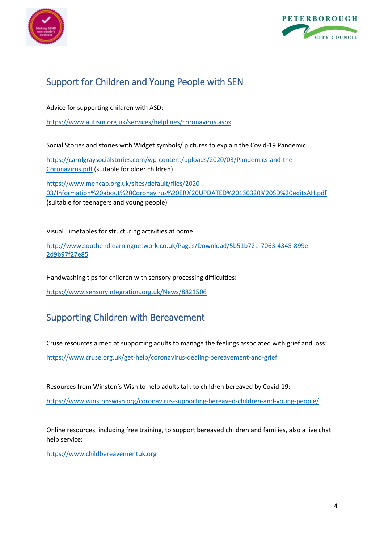



### <span id="page-5-0"></span>Support for Children and Young People with SEN

Advice for supporting children with ASD:

<https://www.autism.org.uk/services/helplines/coronavirus.aspx>

Social Stories and stories with Widget symbols/ pictures to explain the Covid-19 Pandemic:

[https://carolgraysocialstories.com/wp-content/uploads/2020/03/Pandemics-and-the-](https://carolgraysocialstories.com/wp-content/uploads/2020/03/Pandemics-and-the-Coronavirus.pdf)[Coronavirus.pdf](https://carolgraysocialstories.com/wp-content/uploads/2020/03/Pandemics-and-the-Coronavirus.pdf) (suitable for older children)

[https://www.mencap.org.uk/sites/default/files/2020-](https://www.mencap.org.uk/sites/default/files/2020-03/Information%20about%20Coronavirus%20ER%20UPDATED%20130320%20SD%20editsAH.pdf) [03/Information%20about%20Coronavirus%20ER%20UPDATED%20130320%20SD%20editsAH.pdf](https://www.mencap.org.uk/sites/default/files/2020-03/Information%20about%20Coronavirus%20ER%20UPDATED%20130320%20SD%20editsAH.pdf) (suitable for teenagers and young people)

Visual Timetables for structuring activities at home:

[http://www.southendlearningnetwork.co.uk/Pages/Download/5b51b721-7063-4345-899e-](http://www.southendlearningnetwork.co.uk/Pages/Download/5b51b721-7063-4345-899e-2d9b97f27e85)[2d9b97f27e85](http://www.southendlearningnetwork.co.uk/Pages/Download/5b51b721-7063-4345-899e-2d9b97f27e85)

Handwashing tips for children with sensory processing difficulties:

<https://www.sensoryintegration.org.uk/News/8821506>

#### <span id="page-5-1"></span>Supporting Children with Bereavement

Cruse resources aimed at supporting adults to manage the feelings associated with grief and loss:

<https://www.cruse.org.uk/get-help/coronavirus-dealing-bereavement-and-grief>

Resources from Winston's Wish to help adults talk to children bereaved by Covid-19:

<https://www.winstonswish.org/coronavirus-supporting-bereaved-children-and-young-people/>

Online resources, including free training, to support bereaved children and families, also a live chat help service:

[https://www.childbereavementuk.org](https://www.childbereavementuk.org/online-learning-for-schools)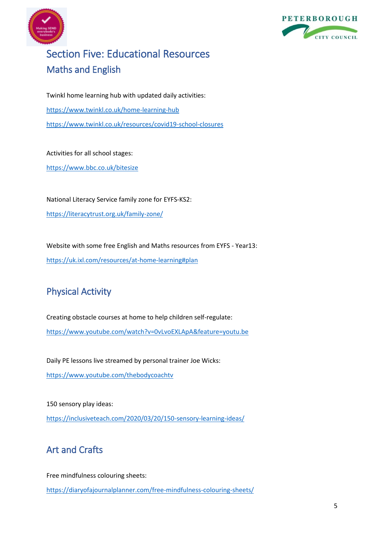



# <span id="page-6-1"></span><span id="page-6-0"></span>Section Five: Educational Resources Maths and English

Twinkl home learning hub with updated daily activities: <https://www.twinkl.co.uk/home-learning-hub> <https://www.twinkl.co.uk/resources/covid19-school-closures>

Activities for all school stages:

<https://www.bbc.co.uk/bitesize>

National Literacy Service family zone for EYFS-KS2: <https://literacytrust.org.uk/family-zone/>

Website with some free English and Maths resources from EYFS - Year13: <https://uk.ixl.com/resources/at-home-learning#plan>

## <span id="page-6-2"></span>Physical Activity

Creating obstacle courses at home to help children self-regulate: <https://www.youtube.com/watch?v=0vLvoEXLApA&feature=youtu.be>

Daily PE lessons live streamed by personal trainer Joe Wicks: <https://www.youtube.com/thebodycoachtv>

150 sensory play ideas: <https://inclusiveteach.com/2020/03/20/150-sensory-learning-ideas/>

### <span id="page-6-3"></span>Art and Crafts

Free mindfulness colouring sheets:

<https://diaryofajournalplanner.com/free-mindfulness-colouring-sheets/>